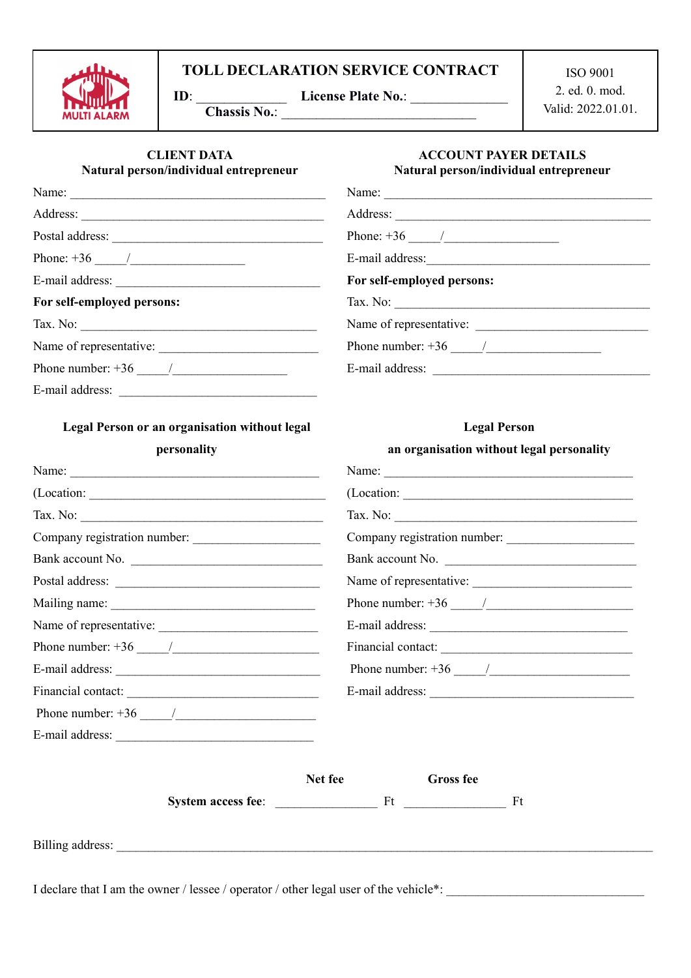## **TOLL DECLARATION SERVICE CONTRACT**

**ID**: **License Plate No.:** 

**Chassis No.:**  $\blacksquare$ 

ISO 9001 2. ed. 0. mod. Valid: 2022.01.01.

| <b>CLIENT DATA</b><br>Natural person/individual entrepreneur | <b>ACCOUNT PAYER DETAILS</b><br>Natural person/individual entrepreneur |
|--------------------------------------------------------------|------------------------------------------------------------------------|
|                                                              |                                                                        |
|                                                              |                                                                        |
|                                                              |                                                                        |
|                                                              |                                                                        |
|                                                              | For self-employed persons:                                             |
| For self-employed persons:                                   |                                                                        |
|                                                              | Name of representative:                                                |
|                                                              |                                                                        |
|                                                              |                                                                        |
| E-mail address:                                              |                                                                        |
| Legal Person or an organisation without legal                | <b>Legal Person</b>                                                    |
| personality                                                  | an organisation without legal personality                              |
|                                                              |                                                                        |
|                                                              |                                                                        |
| Tax. No:                                                     | Tax. No:                                                               |
| Company registration number:                                 |                                                                        |
| Bank account No.                                             | Bank account No.                                                       |
|                                                              |                                                                        |
|                                                              |                                                                        |
|                                                              |                                                                        |
|                                                              | Financial contact:                                                     |
|                                                              |                                                                        |
|                                                              |                                                                        |
|                                                              |                                                                        |
| E-mail address:                                              |                                                                        |
|                                                              |                                                                        |
|                                                              | Net fee<br><b>Gross</b> fee                                            |
|                                                              |                                                                        |
|                                                              |                                                                        |
|                                                              |                                                                        |